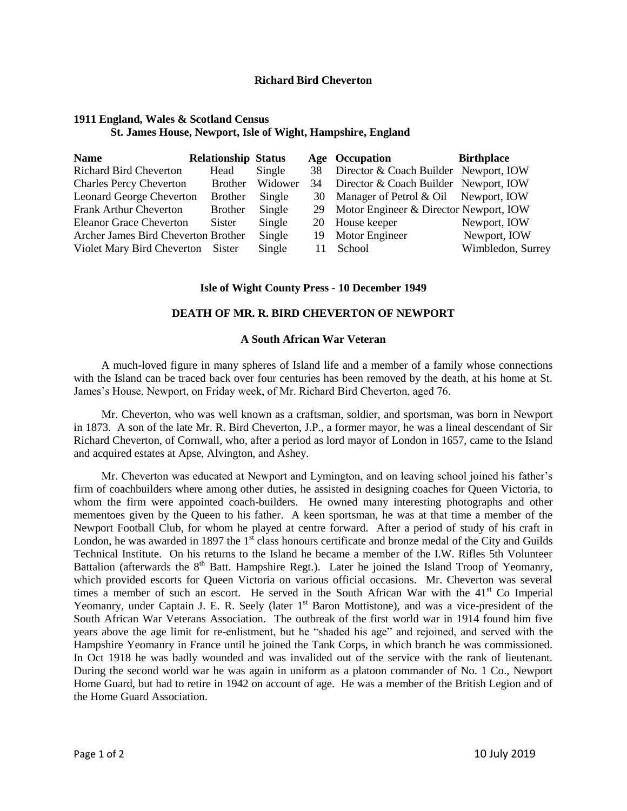## **Richard Bird Cheverton**

# **1911 England, Wales & Scotland Census St. James House, Newport, Isle of Wight, Hampshire, England**

| <b>Name</b>                         | <b>Relationship Status</b> |         |    | Age Occupation                         | <b>Birthplace</b> |
|-------------------------------------|----------------------------|---------|----|----------------------------------------|-------------------|
| <b>Richard Bird Cheverton</b>       | Head                       | Single  | 38 | Director & Coach Builder Newport, IOW  |                   |
| <b>Charles Percy Cheverton</b>      | <b>Brother</b>             | Widower | 34 | Director & Coach Builder Newport, IOW  |                   |
| <b>Leonard George Cheverton</b>     | <b>Brother</b>             | Single  |    | 30 Manager of Petrol & Oil             | Newport, IOW      |
| <b>Frank Arthur Cheverton</b>       | <b>Brother</b>             | Single  | 29 | Motor Engineer & Director Newport, IOW |                   |
| <b>Eleanor Grace Cheverton</b>      | Sister                     | Single  |    | 20 House keeper                        | Newport, IOW      |
| Archer James Bird Cheverton Brother |                            | Single  |    | 19 Motor Engineer                      | Newport, IOW      |
| Violet Mary Bird Cheverton Sister   |                            | Single  | 11 | School                                 | Wimbledon, Surrey |

## **Isle of Wight County Press - 10 December 1949**

## **DEATH OF MR. R. BIRD CHEVERTON OF NEWPORT**

#### **A South African War Veteran**

A much-loved figure in many spheres of Island life and a member of a family whose connections with the Island can be traced back over four centuries has been removed by the death, at his home at St. James's House, Newport, on Friday week, of Mr. Richard Bird Cheverton, aged 76.

Mr. Cheverton, who was well known as a craftsman, soldier, and sportsman, was born in Newport in 1873. A son of the late Mr. R. Bird Cheverton, J.P., a former mayor, he was a lineal descendant of Sir Richard Cheverton, of Cornwall, who, after a period as lord mayor of London in 1657, came to the Island and acquired estates at Apse, Alvington, and Ashey.

Mr. Cheverton was educated at Newport and Lymington, and on leaving school joined his father's firm of coachbuilders where among other duties, he assisted in designing coaches for Queen Victoria, to whom the firm were appointed coach-builders. He owned many interesting photographs and other mementoes given by the Queen to his father. A keen sportsman, he was at that time a member of the Newport Football Club, for whom he played at centre forward. After a period of study of his craft in London, he was awarded in 1897 the  $1<sup>st</sup>$  class honours certificate and bronze medal of the City and Guilds Technical Institute. On his returns to the Island he became a member of the I.W. Rifles 5th Volunteer Battalion (afterwards the 8<sup>th</sup> Batt. Hampshire Regt.). Later he joined the Island Troop of Yeomanry, which provided escorts for Queen Victoria on various official occasions. Mr. Cheverton was several times a member of such an escort. He served in the South African War with the  $41<sup>st</sup>$  Co Imperial Yeomanry, under Captain J. E. R. Seely (later 1<sup>st</sup> Baron Mottistone), and was a vice-president of the South African War Veterans Association. The outbreak of the first world war in 1914 found him five years above the age limit for re-enlistment, but he "shaded his age" and rejoined, and served with the Hampshire Yeomanry in France until he joined the Tank Corps, in which branch he was commissioned. In Oct 1918 he was badly wounded and was invalided out of the service with the rank of lieutenant. During the second world war he was again in uniform as a platoon commander of No. 1 Co., Newport Home Guard, but had to retire in 1942 on account of age. He was a member of the British Legion and of the Home Guard Association.